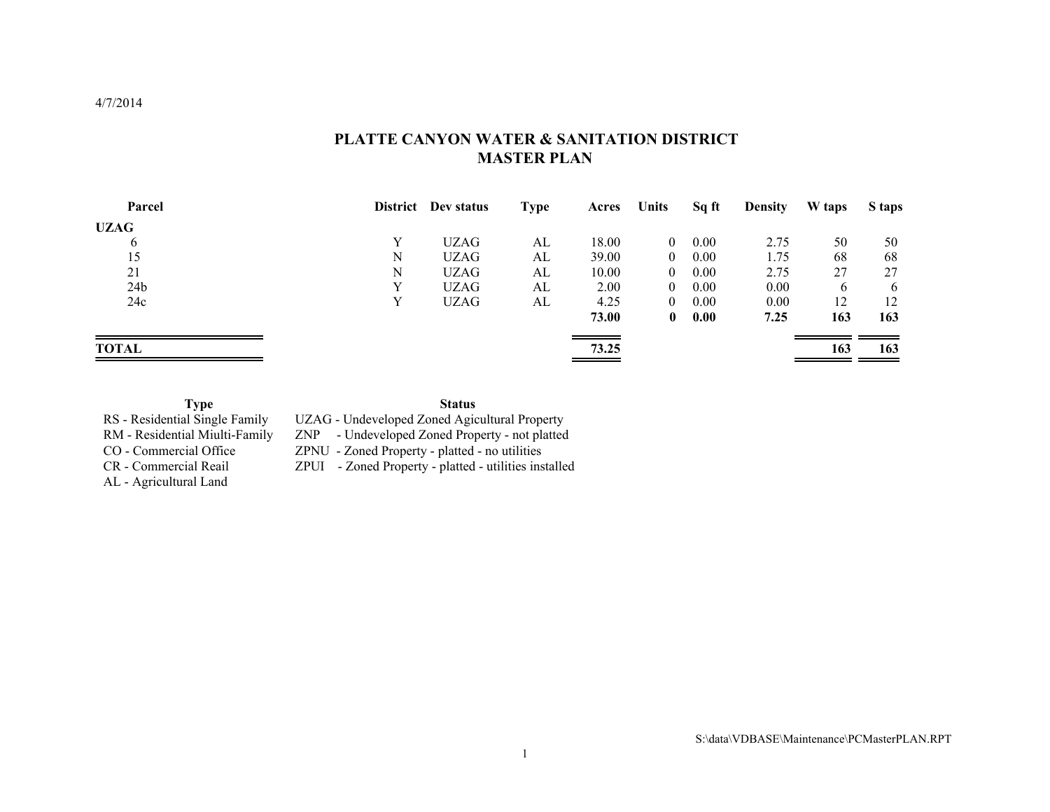### **Parcel District Dev status Type Acres Units Sq ft Density W taps S taps UZAG** 6 Y UZAG AL 18.00 0 0.00 2.75 50 50 15 N UZAG AL 39.00 0 0.00 1.75 68 68 21 N UZAG AL 10.00 0 0.00 2.75 27 27 24b Y UZAG AL 2.00 0 0.00 0.00 6 6 24c Y UZAG AL 4.25 0 0.00 0.00 12 12  **73.00 0 0.00 7.25 163 163**  $=$   $=$ -**TOTAL 73.25 163 163**

# **PLATTE CANYON WATER & SANITATION DISTRICT MASTER PLAN**

#### **Type**

#### **Status**

UZAG - Undeveloped Zoned Agicultural Property ZNP - Undeveloped Zoned Property - not platted

ZPNU - Zoned Property - platted - no utilities

RS - Residential Single Family RM - Residential Miulti-Family

CO - Commercial Office

CR - Commercial Reail

AL - Agricultural Land

ZPUI - Zoned Property - platted - utilities installed

## 4/7/2014